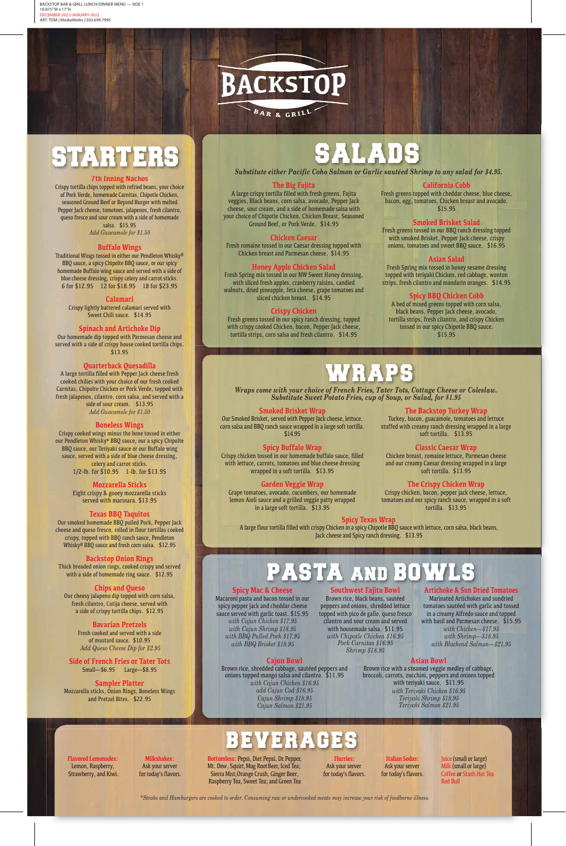# SALADS

*Substitute either Pacific Coho Salmon or Garlic sautéed Shrimp to any salad for \$4.95.*

# **7th Inning Nachos**

Crispy tortilla chips topped with refried beans, your choice of Pork Verde, homemade Carnitas, Chipotle Chicken, seasoned Ground Beef or Beyond Burger with melted Pepper Jack cheese, tomotoes, jalapenos, fresh cilantro, queso fresco and sour cream with a side of homemade salsa. \$15.95

*Add Guacamole for \$1.50*

# **Buffalo Wings**

Traditional Wings tossed in either our Pendleton Whisky® BBQ sauce, a spicy Chipolte BBQ sauce, or our spicy homemade Buffalo wing sauce and served with a side of blue cheese dressing, crispy celery and carrot sticks. 6 for \$12.95 12 for \$18.95 18 for \$23.95

# **Calamari**

Crispy lightly battered calamari served with Sweet Chili sauce. \$14.95

#### **Spinach and Artichoke Dip**

Our homemade dip topped with Parmesan cheese and served with a side of crispy house cooked tortilla chips. \$13.95

## **Quarterback Quesadilla**

A large tortilla filled with Pepper Jack cheese fresh cooked chilies with your choice of our fresh cooked Carnitas, Chipolte Chicken or Pork Verde, topped with fresh jalapenos, cilantro, corn salsa, and served with a side of sour cream. \$13.95 *Add Guacamole for \$1.50*

#### **Boneless Wings**

Crispy cooked wings minus the bone tossed in either our Pendleton Whisky® BBQ sauce, our a spicy Chipolte BBQ sauce, our Teriyaki sauce or our Buffalo wing sauce, served with a side of blue cheese dressing, celery and carrot sticks. 1/2-lb. for \$10.95 1-lb. for \$13.95

# **Mozzarella Sticks**

Eight crispy & gooey mozzarella sticks served with marinara. \$13.95

# **Texas BBQ Taquitos**

Our smoked homemade BBQ pulled Pork, Pepper Jack cheese and queso fresco, rolled in flour tortillas cooked crispy, topped with BBQ ranch sauce, Pendleton Whisky® BBQ sauce and fresh corn salsa. \$12.95

# **Backstop Onion Rings**

Thick breaded onion rings, cooked crispy and served with a side of homemade ring sauce. \$12.95

# **Chips and Queso**

Our cheesy jalapeno dip topped with corn salsa, fresh cilantro, Cotija cheese, served with a side of crispy tortilla chips. \$12.95

Turkey, bacon, guacamole, tomatoes and lettuce stuffed with creamy ranch dressing wrapped in a large soft tortilla. \$13.95

**Bavarian Pretzels** Fresh cooked and served with a side of mustard sauce. \$10.95 *Add Queso Cheese Dip for \$2.95*

**Side of French Fries or Tater Tots** Small—\$6.95 Large—\$8.95

**Sampler Platter** Mozzarella sticks, Onion Rings, Boneless Wings and Pretzel Bites. \$22.95



# STARTERS

# **The Big Fajita**

A large crispy tortilla filled with fresh greens, Fajita veggies, Black beans, corn salsa, avocado, Pepper Jack cheese, sour cream, and a side of homemade salsa with your choice of Chipotle Chicken, Chicken Breast, Seasoned Ground Beef, or Pork Verde. \$14.95

#### **Chicken Caesar**

Fresh romaine tossed in our Caesar dressing topped with Chicken breast and Parmesan cheese. \$14.95

# **Honey Apple Chicken Salad**

Fresh Spring mix tossed in our NW Sweet Honey dressing, with sliced fresh apples, cranberry raisins, candied walnuts, dried pineapple, feta cheese, grape tomatoes and sliced chicken breast. \$14.95

# **Crispy Chicken**

Fresh greens tossed in our spicy ranch dressing, topped with crispy cooked Chicken, bacon, Pepper Jack cheese, tortilla strips, corn salsa and fresh cilantro. \$14.95

#### **California Cobb**

Fresh greens topped with cheddar cheese, blue cheese, bacon, egg, tomatoes, Chicken breast and avocado. \$15.95

# **Smoked Brisket Salad**

Fresh greens tossed in our BBQ ranch dressing topped with smoked Brisket, Pepper Jack cheese, crispy onions, tomatoes and sweet BBQ sauce. \$16.95

# **Asian Salad**

Fresh Spring mix tossed in honey sesame dressing topped with teriyaki Chicken, red cabbage, wonton strips, fresh cilantro and mandarin oranges. \$14.95

## **Spicy BBQ Chicken Cobb**

A bed of mixed greens topped with corn salsa, black beans, Pepper Jack cheese, avocado, tortilla strips, fresh cilantro, and crispy Chicken tossed in our spicy Chipotle BBQ sauce. \$15.95

# WRAPS

#### **Smoked Brisket Wrap**

Our Smoked Brisket, served with Pepper Jack cheese, lettuce, corn salsa and BBQ ranch sauce wrapped in a large soft tortilla. \$14.95

#### **Spicy Buffalo Wrap**

Crispy chicken tossed in our homemade buffalo sauce, filled with lettuce, carrots, tomatoes and blue cheese dressing wrapped in a soft tortilla. \$13.95

# **Garden Veggie Wrap**

Grape tomatoes, avocado, cucumbers, our homemade lemon Aioli sauce and a grilled veggie patty wrapped in a large soft tortilla. \$13.95

# **The Backstop Turkey Wrap**

# **Classic Caesar Wrap**

Chicken breast, romaine lettuce, Parmesan cheese and our creamy Caesar dressing wrapped in a large soft tortilla. \$13.95

# **The Crispy Chicken Wrap**

Crispy chicken, bacon, pepper jack cheese, lettuce, tomatoes and our spicy ranch sauce, wrapped in a soft tortilla. \$13.95

*Wraps come with your choice of French Fries, Tater Tots, Cottage Cheese or Coleslaw. Substitute Sweet Potato Fries, cup of Soup, or Salad, for \$1.95*

# **Spicy Texas Wrap**

A large flour tortilla filled with crispy Chicken in a spicy Chipotle BBQ sauce with lettuce, corn salsa, black beans, Jack cheese and Spicy ranch dressing. \$13.95

# PASTA AND BOWL

# **Spicy Mac & Cheese**

Macaroni pasta and bacon tossed in our spicy pepper jack and cheddar cheese sauce served with garlic toast. \$15.95 *with Cajun Chicken \$17.95 with Cajun Shrimp \$18.95 with BBQ Pulled Pork \$17.95 with BBQ Brisket \$18.95*

**Artichoke & Sun Dried Tomatoes**

Marinated Artichokes and sundried

tomatoes sautéed with garlic and tossed in a creamy Alfredo sauce and topped with basil and Parmesan cheese. \$15.95 *with Chicken—\$17.95 with Shrimp—\$18.95 with Blackend Salmon—\$21.95*

**Southwest Fajita Bowl** Brown rice, black beans, sautéed peppers and onions, shredded lettuce topped with pico de gallo, queso fresco cilantro and sour cream and served with housemade salsa. \$11.95 *with Chipotle Chicken \$16.95 Pork Carnitas \$16.95 Shrimp \$18.95* 

# **Cajun Bowl**

Brown rice, shredded cabbage, sautéed peppers and onions topped mango salsa and cilantro. \$11.95 *with Cajun Chicken \$16.95 add Cajun Cod \$16.95 Cajun Shrimp \$18.95 Cajun Salmon \$21.95*

ER AG

# **Asian Bowl**

Brown rice with a steamed veggie medley of cabbage, broccoli, carrots, zucchini, peppers and onions topped with teriyaki sauce. \$11.95 *with Teriyaki Chicken \$16.95 Teriyaki Shrimp \$18.95 Teriyaki Salmon \$21.95* 

*\*Steaks and Hamburgers are cooked to order. Consuming raw or undercooked meats may increase your risk of foodborne illness.*

#### **Bottomless:** Pepsi, Diet Pepsi, Dr. Pepper, Mt. Dew, Squirt, Mug Root Beer, Iced Tea; Sierra Mist,Orange Crush, Ginger Beer, Raspberry Tea, Sweet Tea; and Green Tea

Juice (small or large) Milk (small or large) Coffee or Stash Hot Tea Red Bull

**Flavored Lemonades:**  Lemon, Raspberry, Strawberry, and Kiwi.

**Milkshakes:**  Ask your server for today's flavors.

**Flurries:** Ask your server for today's flavors.

**Italian Sodas:** Ask your server for today's flavors.